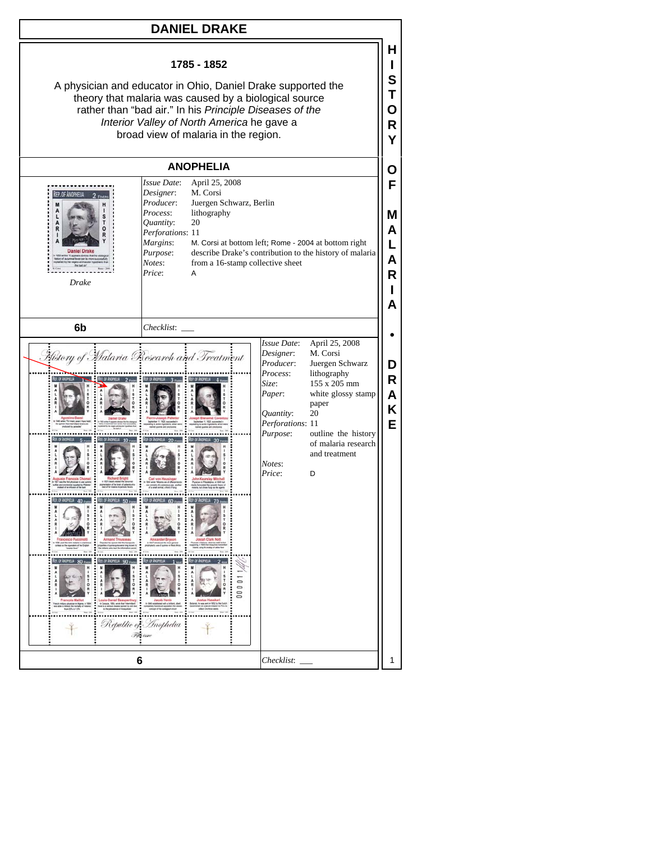